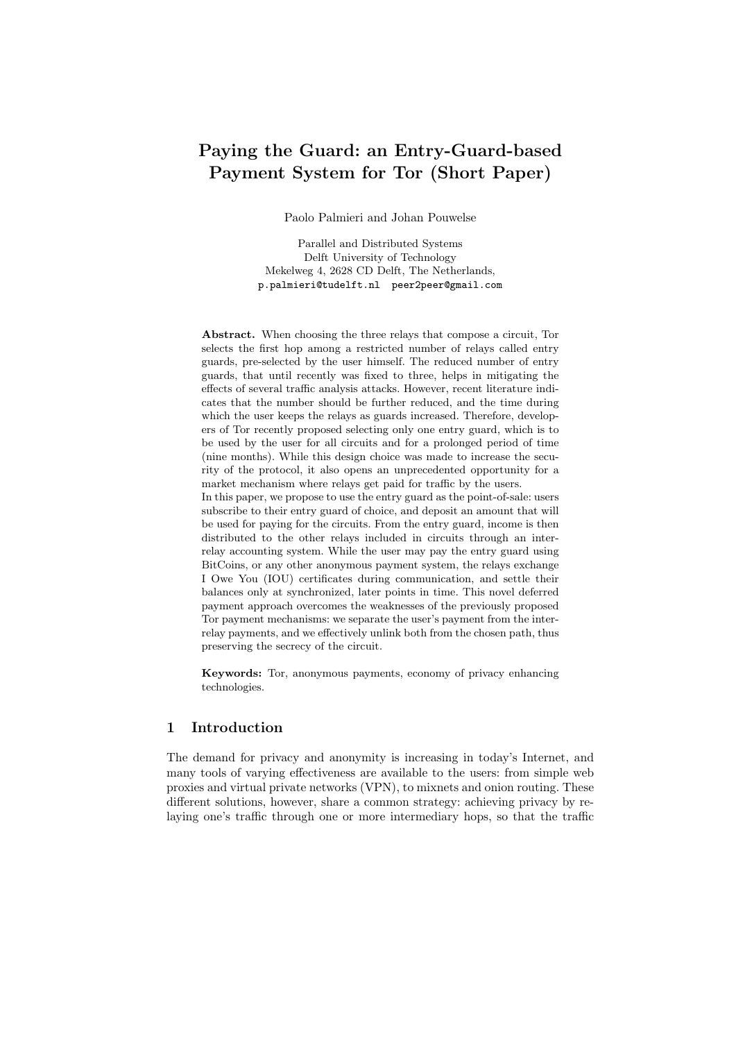# Paying the Guard: an Entry-Guard-based Payment System for Tor (Short Paper)

Paolo Palmieri and Johan Pouwelse

Parallel and Distributed Systems Delft University of Technology Mekelweg 4, 2628 CD Delft, The Netherlands, p.palmieri@tudelft.nl peer2peer@gmail.com

Abstract. When choosing the three relays that compose a circuit, Tor selects the first hop among a restricted number of relays called entry guards, pre-selected by the user himself. The reduced number of entry guards, that until recently was fixed to three, helps in mitigating the effects of several traffic analysis attacks. However, recent literature indicates that the number should be further reduced, and the time during which the user keeps the relays as guards increased. Therefore, developers of Tor recently proposed selecting only one entry guard, which is to be used by the user for all circuits and for a prolonged period of time (nine months). While this design choice was made to increase the security of the protocol, it also opens an unprecedented opportunity for a market mechanism where relays get paid for traffic by the users. In this paper, we propose to use the entry guard as the point-of-sale: users subscribe to their entry guard of choice, and deposit an amount that will be used for paying for the circuits. From the entry guard, income is then distributed to the other relays included in circuits through an interrelay accounting system. While the user may pay the entry guard using BitCoins, or any other anonymous payment system, the relays exchange I Owe You (IOU) certificates during communication, and settle their balances only at synchronized, later points in time. This novel deferred payment approach overcomes the weaknesses of the previously proposed Tor payment mechanisms: we separate the user's payment from the interrelay payments, and we effectively unlink both from the chosen path, thus preserving the secrecy of the circuit.

Keywords: Tor, anonymous payments, economy of privacy enhancing technologies.

## 1 Introduction

The demand for privacy and anonymity is increasing in today's Internet, and many tools of varying effectiveness are available to the users: from simple web proxies and virtual private networks (VPN), to mixnets and onion routing. These different solutions, however, share a common strategy: achieving privacy by relaying one's traffic through one or more intermediary hops, so that the traffic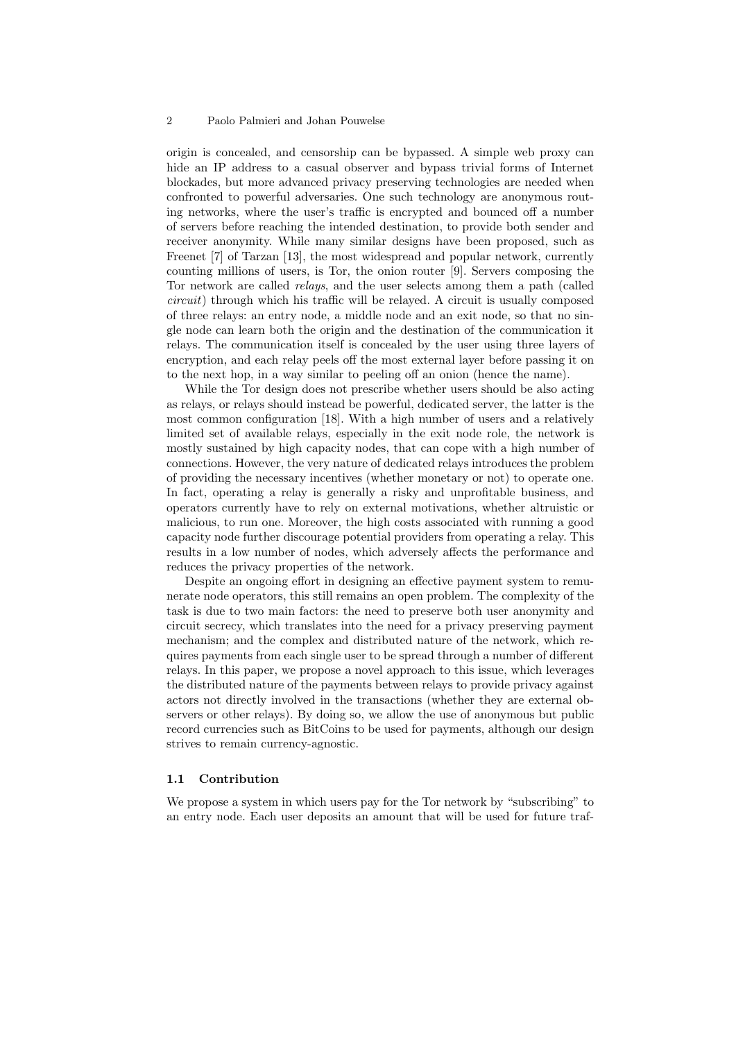#### 2 Paolo Palmieri and Johan Pouwelse

origin is concealed, and censorship can be bypassed. A simple web proxy can hide an IP address to a casual observer and bypass trivial forms of Internet blockades, but more advanced privacy preserving technologies are needed when confronted to powerful adversaries. One such technology are anonymous routing networks, where the user's traffic is encrypted and bounced off a number of servers before reaching the intended destination, to provide both sender and receiver anonymity. While many similar designs have been proposed, such as Freenet [7] of Tarzan [13], the most widespread and popular network, currently counting millions of users, is Tor, the onion router [9]. Servers composing the Tor network are called relays, and the user selects among them a path (called circuit) through which his traffic will be relayed. A circuit is usually composed of three relays: an entry node, a middle node and an exit node, so that no single node can learn both the origin and the destination of the communication it relays. The communication itself is concealed by the user using three layers of encryption, and each relay peels off the most external layer before passing it on to the next hop, in a way similar to peeling off an onion (hence the name).

While the Tor design does not prescribe whether users should be also acting as relays, or relays should instead be powerful, dedicated server, the latter is the most common configuration [18]. With a high number of users and a relatively limited set of available relays, especially in the exit node role, the network is mostly sustained by high capacity nodes, that can cope with a high number of connections. However, the very nature of dedicated relays introduces the problem of providing the necessary incentives (whether monetary or not) to operate one. In fact, operating a relay is generally a risky and unprofitable business, and operators currently have to rely on external motivations, whether altruistic or malicious, to run one. Moreover, the high costs associated with running a good capacity node further discourage potential providers from operating a relay. This results in a low number of nodes, which adversely affects the performance and reduces the privacy properties of the network.

Despite an ongoing effort in designing an effective payment system to remunerate node operators, this still remains an open problem. The complexity of the task is due to two main factors: the need to preserve both user anonymity and circuit secrecy, which translates into the need for a privacy preserving payment mechanism; and the complex and distributed nature of the network, which requires payments from each single user to be spread through a number of different relays. In this paper, we propose a novel approach to this issue, which leverages the distributed nature of the payments between relays to provide privacy against actors not directly involved in the transactions (whether they are external observers or other relays). By doing so, we allow the use of anonymous but public record currencies such as BitCoins to be used for payments, although our design strives to remain currency-agnostic.

### 1.1 Contribution

We propose a system in which users pay for the Tor network by "subscribing" to an entry node. Each user deposits an amount that will be used for future traf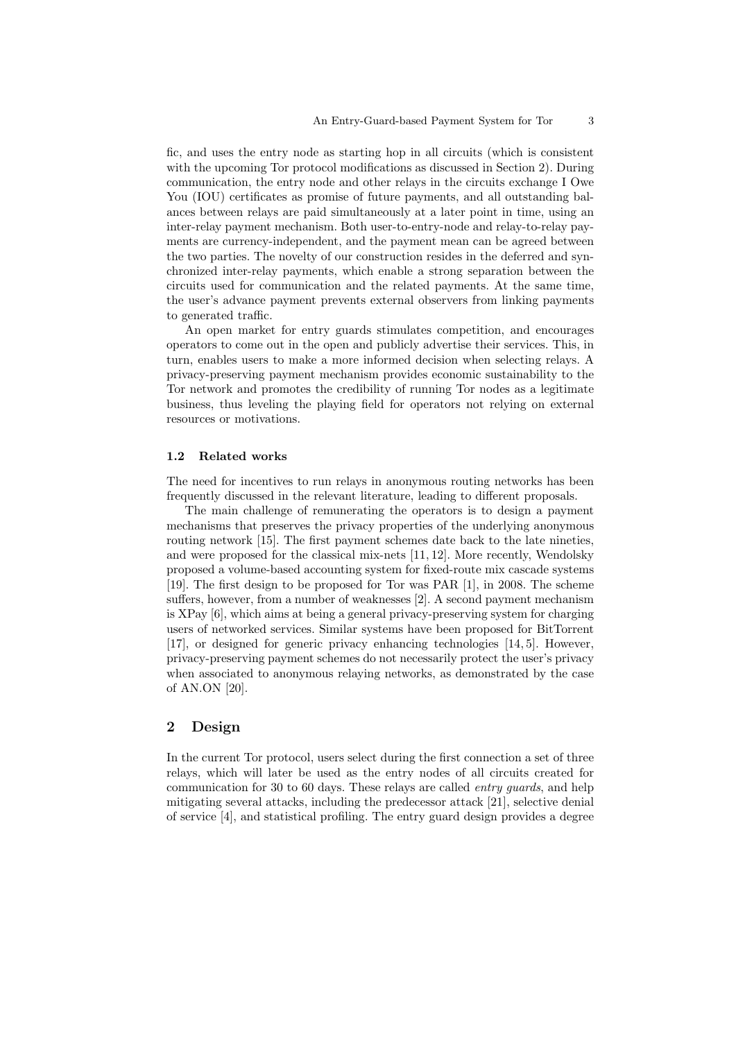fic, and uses the entry node as starting hop in all circuits (which is consistent with the upcoming Tor protocol modifications as discussed in Section 2). During communication, the entry node and other relays in the circuits exchange I Owe You (IOU) certificates as promise of future payments, and all outstanding balances between relays are paid simultaneously at a later point in time, using an inter-relay payment mechanism. Both user-to-entry-node and relay-to-relay payments are currency-independent, and the payment mean can be agreed between the two parties. The novelty of our construction resides in the deferred and synchronized inter-relay payments, which enable a strong separation between the circuits used for communication and the related payments. At the same time, the user's advance payment prevents external observers from linking payments to generated traffic.

An open market for entry guards stimulates competition, and encourages operators to come out in the open and publicly advertise their services. This, in turn, enables users to make a more informed decision when selecting relays. A privacy-preserving payment mechanism provides economic sustainability to the Tor network and promotes the credibility of running Tor nodes as a legitimate business, thus leveling the playing field for operators not relying on external resources or motivations.

#### 1.2 Related works

The need for incentives to run relays in anonymous routing networks has been frequently discussed in the relevant literature, leading to different proposals.

The main challenge of remunerating the operators is to design a payment mechanisms that preserves the privacy properties of the underlying anonymous routing network [15]. The first payment schemes date back to the late nineties, and were proposed for the classical mix-nets [11, 12]. More recently, Wendolsky proposed a volume-based accounting system for fixed-route mix cascade systems [19]. The first design to be proposed for Tor was PAR [1], in 2008. The scheme suffers, however, from a number of weaknesses [2]. A second payment mechanism is XPay [6], which aims at being a general privacy-preserving system for charging users of networked services. Similar systems have been proposed for BitTorrent [17], or designed for generic privacy enhancing technologies [14, 5]. However, privacy-preserving payment schemes do not necessarily protect the user's privacy when associated to anonymous relaying networks, as demonstrated by the case of AN.ON [20].

## 2 Design

In the current Tor protocol, users select during the first connection a set of three relays, which will later be used as the entry nodes of all circuits created for communication for 30 to 60 days. These relays are called entry guards, and help mitigating several attacks, including the predecessor attack [21], selective denial of service [4], and statistical profiling. The entry guard design provides a degree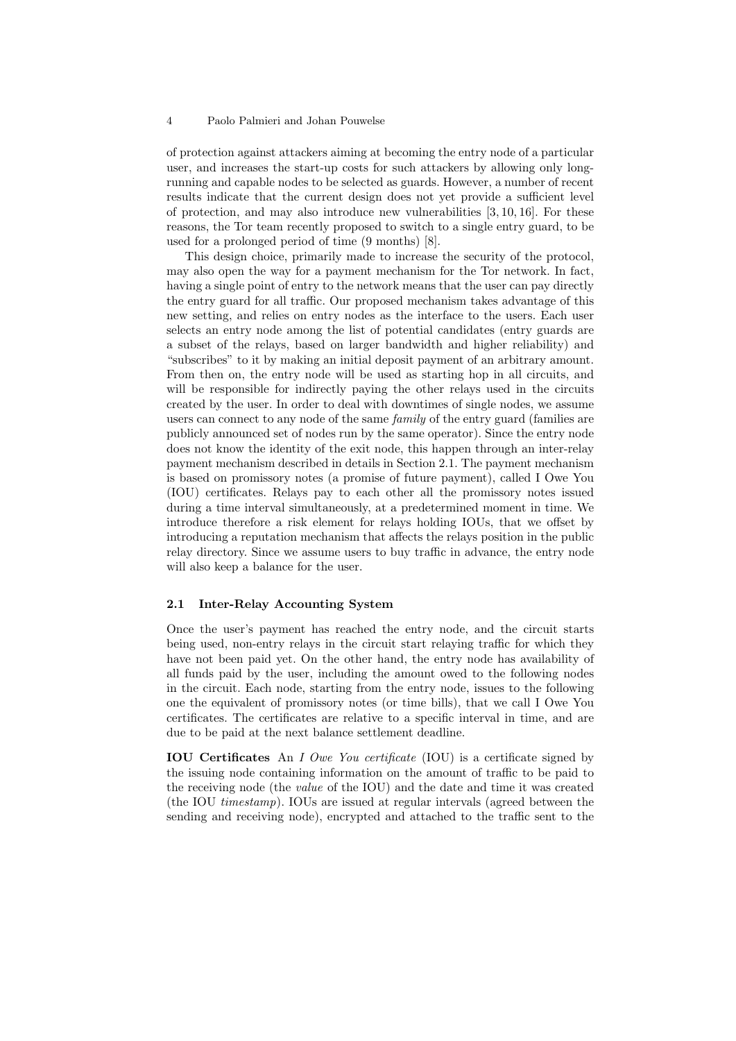#### 4 Paolo Palmieri and Johan Pouwelse

of protection against attackers aiming at becoming the entry node of a particular user, and increases the start-up costs for such attackers by allowing only longrunning and capable nodes to be selected as guards. However, a number of recent results indicate that the current design does not yet provide a sufficient level of protection, and may also introduce new vulnerabilities [3, 10, 16]. For these reasons, the Tor team recently proposed to switch to a single entry guard, to be used for a prolonged period of time (9 months) [8].

This design choice, primarily made to increase the security of the protocol, may also open the way for a payment mechanism for the Tor network. In fact, having a single point of entry to the network means that the user can pay directly the entry guard for all traffic. Our proposed mechanism takes advantage of this new setting, and relies on entry nodes as the interface to the users. Each user selects an entry node among the list of potential candidates (entry guards are a subset of the relays, based on larger bandwidth and higher reliability) and "subscribes" to it by making an initial deposit payment of an arbitrary amount. From then on, the entry node will be used as starting hop in all circuits, and will be responsible for indirectly paying the other relays used in the circuits created by the user. In order to deal with downtimes of single nodes, we assume users can connect to any node of the same family of the entry guard (families are publicly announced set of nodes run by the same operator). Since the entry node does not know the identity of the exit node, this happen through an inter-relay payment mechanism described in details in Section 2.1. The payment mechanism is based on promissory notes (a promise of future payment), called I Owe You (IOU) certificates. Relays pay to each other all the promissory notes issued during a time interval simultaneously, at a predetermined moment in time. We introduce therefore a risk element for relays holding IOUs, that we offset by introducing a reputation mechanism that affects the relays position in the public relay directory. Since we assume users to buy traffic in advance, the entry node will also keep a balance for the user.

## 2.1 Inter-Relay Accounting System

Once the user's payment has reached the entry node, and the circuit starts being used, non-entry relays in the circuit start relaying traffic for which they have not been paid yet. On the other hand, the entry node has availability of all funds paid by the user, including the amount owed to the following nodes in the circuit. Each node, starting from the entry node, issues to the following one the equivalent of promissory notes (or time bills), that we call I Owe You certificates. The certificates are relative to a specific interval in time, and are due to be paid at the next balance settlement deadline.

IOU Certificates An I Owe You certificate (IOU) is a certificate signed by the issuing node containing information on the amount of traffic to be paid to the receiving node (the value of the IOU) and the date and time it was created (the IOU timestamp). IOUs are issued at regular intervals (agreed between the sending and receiving node), encrypted and attached to the traffic sent to the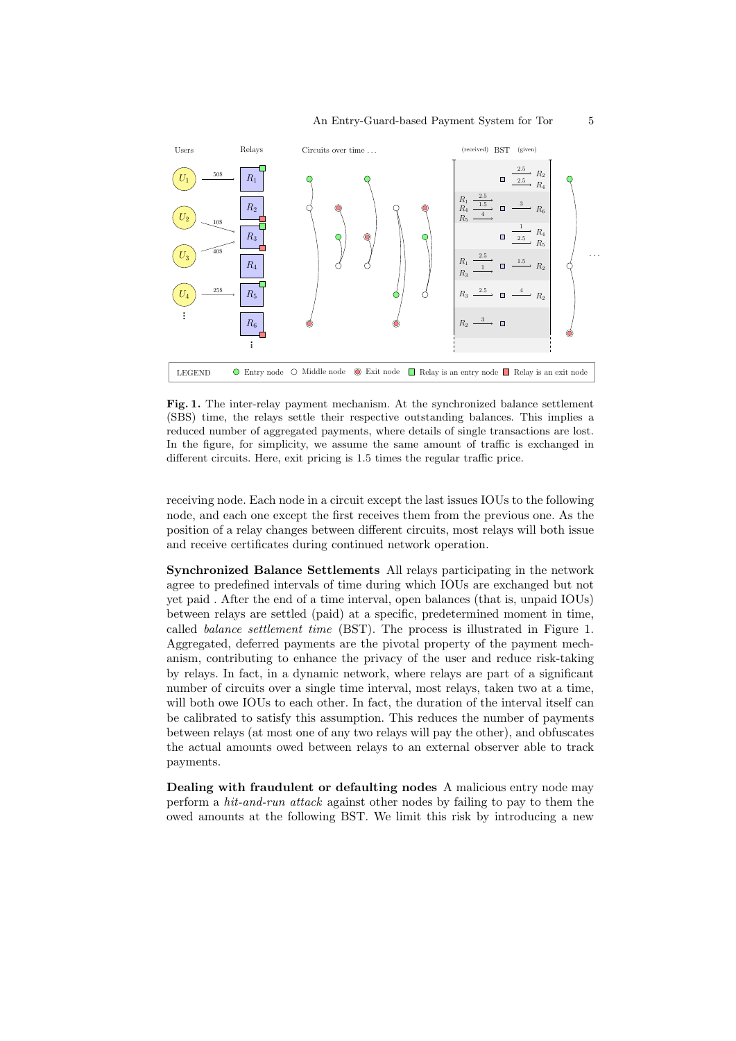

Fig. 1. The inter-relay payment mechanism. At the synchronized balance settlement (SBS) time, the relays settle their respective outstanding balances. This implies a reduced number of aggregated payments, where details of single transactions are lost. In the figure, for simplicity, we assume the same amount of traffic is exchanged in different circuits. Here, exit pricing is 1.5 times the regular traffic price.

receiving node. Each node in a circuit except the last issues IOUs to the following node, and each one except the first receives them from the previous one. As the position of a relay changes between different circuits, most relays will both issue and receive certificates during continued network operation.

Synchronized Balance Settlements All relays participating in the network agree to predefined intervals of time during which IOUs are exchanged but not yet paid . After the end of a time interval, open balances (that is, unpaid IOUs) between relays are settled (paid) at a specific, predetermined moment in time, called balance settlement time (BST). The process is illustrated in Figure 1. Aggregated, deferred payments are the pivotal property of the payment mechanism, contributing to enhance the privacy of the user and reduce risk-taking by relays. In fact, in a dynamic network, where relays are part of a significant number of circuits over a single time interval, most relays, taken two at a time, will both owe IOUs to each other. In fact, the duration of the interval itself can be calibrated to satisfy this assumption. This reduces the number of payments between relays (at most one of any two relays will pay the other), and obfuscates the actual amounts owed between relays to an external observer able to track payments.

Dealing with fraudulent or defaulting nodes A malicious entry node may perform a hit-and-run attack against other nodes by failing to pay to them the owed amounts at the following BST. We limit this risk by introducing a new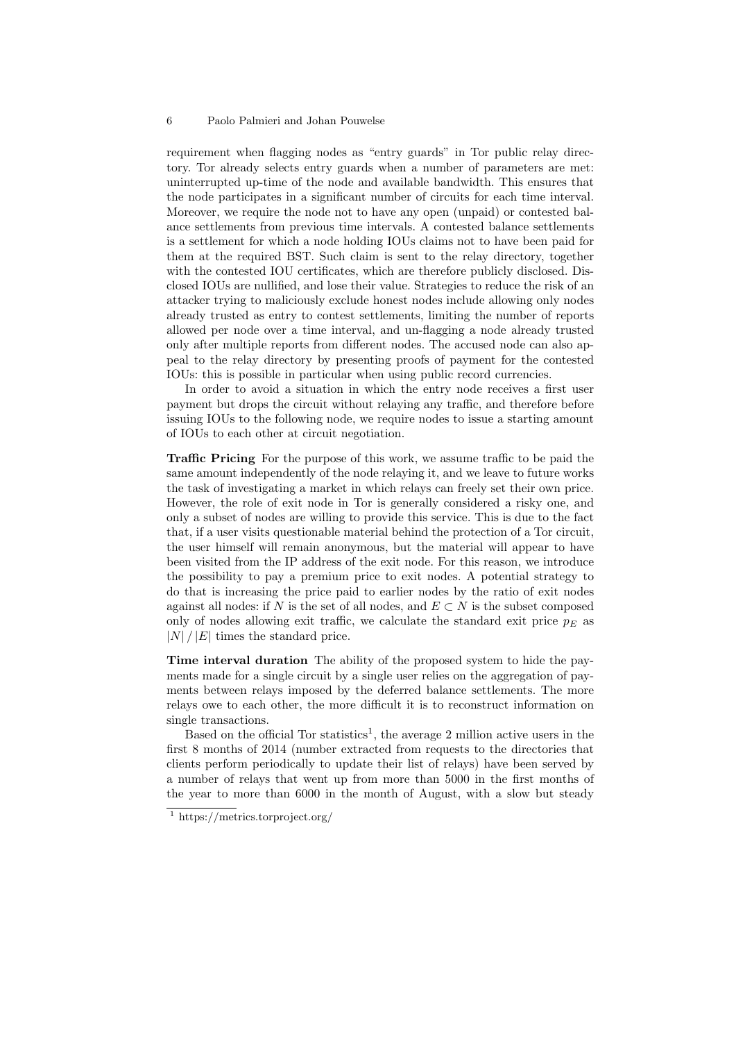#### 6 Paolo Palmieri and Johan Pouwelse

requirement when flagging nodes as "entry guards" in Tor public relay directory. Tor already selects entry guards when a number of parameters are met: uninterrupted up-time of the node and available bandwidth. This ensures that the node participates in a significant number of circuits for each time interval. Moreover, we require the node not to have any open (unpaid) or contested balance settlements from previous time intervals. A contested balance settlements is a settlement for which a node holding IOUs claims not to have been paid for them at the required BST. Such claim is sent to the relay directory, together with the contested IOU certificates, which are therefore publicly disclosed. Disclosed IOUs are nullified, and lose their value. Strategies to reduce the risk of an attacker trying to maliciously exclude honest nodes include allowing only nodes already trusted as entry to contest settlements, limiting the number of reports allowed per node over a time interval, and un-flagging a node already trusted only after multiple reports from different nodes. The accused node can also appeal to the relay directory by presenting proofs of payment for the contested IOUs: this is possible in particular when using public record currencies.

In order to avoid a situation in which the entry node receives a first user payment but drops the circuit without relaying any traffic, and therefore before issuing IOUs to the following node, we require nodes to issue a starting amount of IOUs to each other at circuit negotiation.

Traffic Pricing For the purpose of this work, we assume traffic to be paid the same amount independently of the node relaying it, and we leave to future works the task of investigating a market in which relays can freely set their own price. However, the role of exit node in Tor is generally considered a risky one, and only a subset of nodes are willing to provide this service. This is due to the fact that, if a user visits questionable material behind the protection of a Tor circuit, the user himself will remain anonymous, but the material will appear to have been visited from the IP address of the exit node. For this reason, we introduce the possibility to pay a premium price to exit nodes. A potential strategy to do that is increasing the price paid to earlier nodes by the ratio of exit nodes against all nodes: if N is the set of all nodes, and  $E \subset N$  is the subset composed only of nodes allowing exit traffic, we calculate the standard exit price  $p_E$  as  $|N| / |E|$  times the standard price.

Time interval duration The ability of the proposed system to hide the payments made for a single circuit by a single user relies on the aggregation of payments between relays imposed by the deferred balance settlements. The more relays owe to each other, the more difficult it is to reconstruct information on single transactions.

Based on the official Tor statistics<sup>1</sup>, the average 2 million active users in the first 8 months of 2014 (number extracted from requests to the directories that clients perform periodically to update their list of relays) have been served by a number of relays that went up from more than 5000 in the first months of the year to more than 6000 in the month of August, with a slow but steady

<sup>1</sup> https://metrics.torproject.org/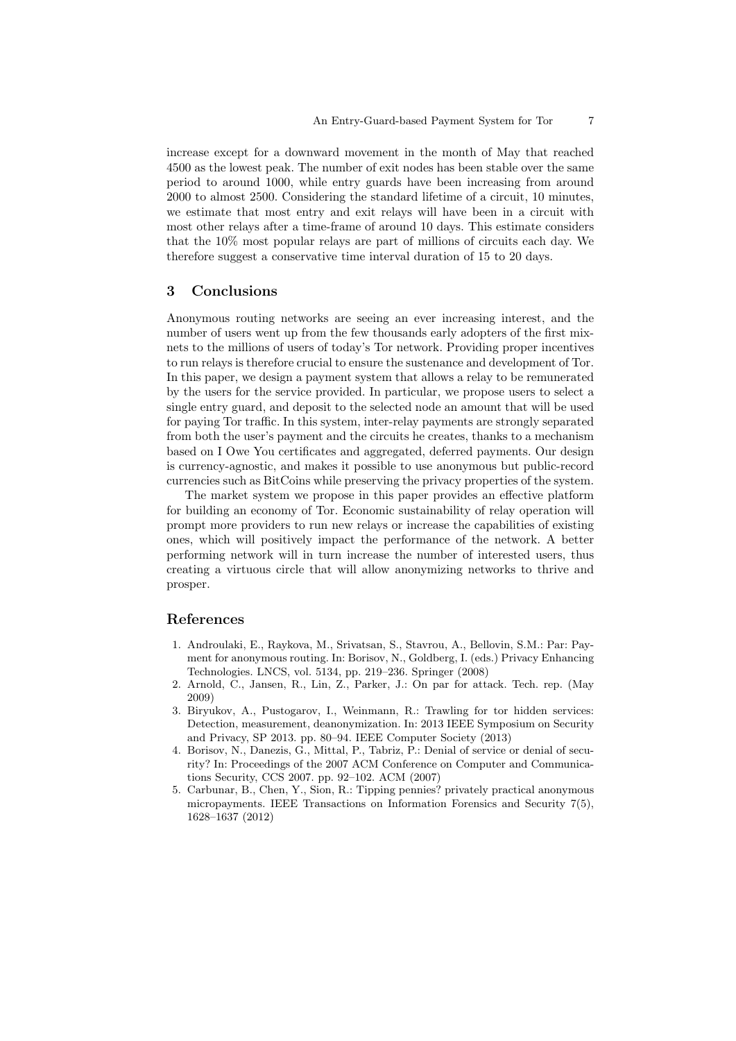increase except for a downward movement in the month of May that reached 4500 as the lowest peak. The number of exit nodes has been stable over the same period to around 1000, while entry guards have been increasing from around 2000 to almost 2500. Considering the standard lifetime of a circuit, 10 minutes, we estimate that most entry and exit relays will have been in a circuit with most other relays after a time-frame of around 10 days. This estimate considers that the 10% most popular relays are part of millions of circuits each day. We therefore suggest a conservative time interval duration of 15 to 20 days.

# 3 Conclusions

Anonymous routing networks are seeing an ever increasing interest, and the number of users went up from the few thousands early adopters of the first mixnets to the millions of users of today's Tor network. Providing proper incentives to run relays is therefore crucial to ensure the sustenance and development of Tor. In this paper, we design a payment system that allows a relay to be remunerated by the users for the service provided. In particular, we propose users to select a single entry guard, and deposit to the selected node an amount that will be used for paying Tor traffic. In this system, inter-relay payments are strongly separated from both the user's payment and the circuits he creates, thanks to a mechanism based on I Owe You certificates and aggregated, deferred payments. Our design is currency-agnostic, and makes it possible to use anonymous but public-record currencies such as BitCoins while preserving the privacy properties of the system.

The market system we propose in this paper provides an effective platform for building an economy of Tor. Economic sustainability of relay operation will prompt more providers to run new relays or increase the capabilities of existing ones, which will positively impact the performance of the network. A better performing network will in turn increase the number of interested users, thus creating a virtuous circle that will allow anonymizing networks to thrive and prosper.

## References

- 1. Androulaki, E., Raykova, M., Srivatsan, S., Stavrou, A., Bellovin, S.M.: Par: Payment for anonymous routing. In: Borisov, N., Goldberg, I. (eds.) Privacy Enhancing Technologies. LNCS, vol. 5134, pp. 219–236. Springer (2008)
- 2. Arnold, C., Jansen, R., Lin, Z., Parker, J.: On par for attack. Tech. rep. (May 2009)
- 3. Biryukov, A., Pustogarov, I., Weinmann, R.: Trawling for tor hidden services: Detection, measurement, deanonymization. In: 2013 IEEE Symposium on Security and Privacy, SP 2013. pp. 80–94. IEEE Computer Society (2013)
- 4. Borisov, N., Danezis, G., Mittal, P., Tabriz, P.: Denial of service or denial of security? In: Proceedings of the 2007 ACM Conference on Computer and Communications Security, CCS 2007. pp. 92–102. ACM (2007)
- 5. Carbunar, B., Chen, Y., Sion, R.: Tipping pennies? privately practical anonymous micropayments. IEEE Transactions on Information Forensics and Security 7(5), 1628–1637 (2012)